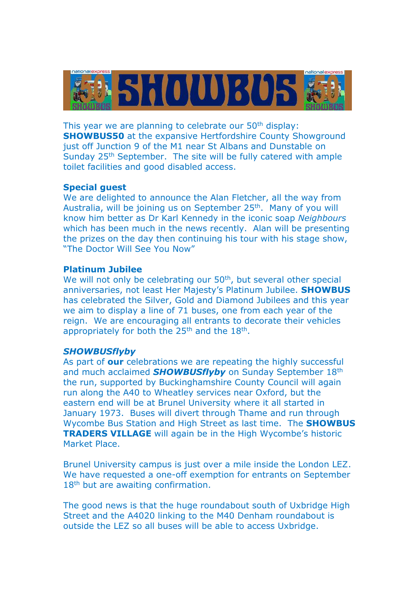

This year we are planning to celebrate our 50<sup>th</sup> display: **SHOWBUS50** at the expansive Hertfordshire County Showground just off Junction 9 of the M1 near St Albans and Dunstable on Sunday 25th September. The site will be fully catered with ample toilet facilities and good disabled access.

## **Special guest**

We are delighted to announce the Alan Fletcher, all the way from Australia, will be joining us on September 25<sup>th</sup>. Many of you will know him better as Dr Karl Kennedy in the iconic soap *Neighbours* which has been much in the news recently. Alan will be presenting the prizes on the day then continuing his tour with his stage show, "The Doctor Will See You Now"

#### **Platinum Jubilee**

We will not only be celebrating our 50<sup>th</sup>, but several other special anniversaries, not least Her Majesty's Platinum Jubilee. **SHOWBUS** has celebrated the Silver, Gold and Diamond Jubilees and this year we aim to display a line of 71 buses, one from each year of the reign. We are encouraging all entrants to decorate their vehicles appropriately for both the  $25<sup>th</sup>$  and the  $18<sup>th</sup>$ .

#### *SHOWBUSflyby*

As part of **our** celebrations we are repeating the highly successful and much acclaimed *SHOWBUSflyby* on Sunday September 18th the run, supported by Buckinghamshire County Council will again run along the A40 to Wheatley services near Oxford, but the eastern end will be at Brunel University where it all started in January 1973. Buses will divert through Thame and run through Wycombe Bus Station and High Street as last time. The **SHOWBUS TRADERS VILLAGE** will again be in the High Wycombe's historic Market Place.

Brunel University campus is just over a mile inside the London LEZ. We have requested a one-off exemption for entrants on September 18<sup>th</sup> but are awaiting confirmation.

The good news is that the huge roundabout south of Uxbridge High Street and the A4020 linking to the M40 Denham roundabout is outside the LEZ so all buses will be able to access Uxbridge.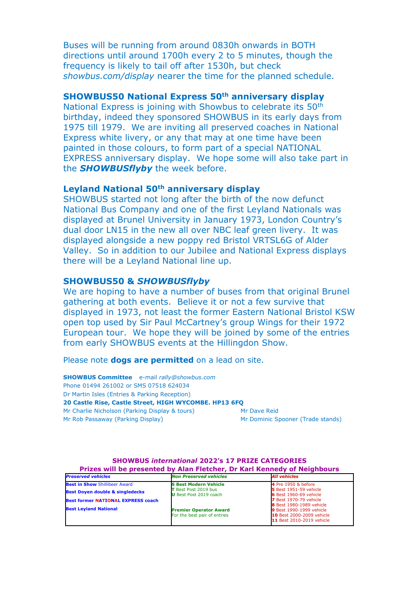Buses will be running from around 0830h onwards in BOTH directions until around 1700h every 2 to 5 minutes, though the frequency is likely to tail off after 1530h, but check *showbus.com/display* nearer the time for the planned schedule.

## **SHOWBUS50 National Express 50th anniversary display**

National Express is joining with Showbus to celebrate its 50<sup>th</sup> birthday, indeed they sponsored SHOWBUS in its early days from 1975 till 1979. We are inviting all preserved coaches in National Express white livery, or any that may at one time have been painted in those colours, to form part of a special NATIONAL EXPRESS anniversary display. We hope some will also take part in the *SHOWBUSflyby* the week before.

# **Leyland National 50th anniversary display**

SHOWBUS started not long after the birth of the now defunct National Bus Company and one of the first Leyland Nationals was displayed at Brunel University in January 1973, London Country's dual door LN15 in the new all over NBC leaf green livery. It was displayed alongside a new poppy red Bristol VRTSL6G of Alder Valley. So in addition to our Jubilee and National Express displays there will be a Leyland National line up.

#### **SHOWBUS50 &** *SHOWBUSflyby*

We are hoping to have a number of buses from that original Brunel gathering at both events. Believe it or not a few survive that displayed in 1973, not least the former Eastern National Bristol KSW open top used by Sir Paul McCartney's group Wings for their 1972 European tour. We hope they will be joined by some of the entries from early SHOWBUS events at the Hillingdon Show.

Please note **dogs are permitted** on a lead on site.

**SHOWBUS Committee** e-mail *rally@showbus.com* Phone 01494 261002 or SMS 07518 624034 Dr Martin Isles (Entries & Parking Reception) **20 Castle Rise, Castle Street, HIGH WYCOMBE. HP13 6FQ** Mr Charlie Nicholson (Parking Display & tours) Mr Dave Reid Mr Rob Passaway (Parking Display) Mr Dominic Spooner (Trade stands)

| Prizes will be presented by Alan Fletcher, Dr Karl Kennedy of Neighbours |                               |                                  |
|--------------------------------------------------------------------------|-------------------------------|----------------------------------|
| <b>Preserved vehicles</b>                                                | <b>Non Preserved vehicles</b> | <b>All vehicles</b>              |
| <b>Best in Show Shillibeer Award</b>                                     | <b>S Best Modern Vehicle</b>  | 4 Pre 1950 & before              |
| <b>Best Doyen double &amp; singledecks</b>                               | T Best Post 2019 bus          | <b>5</b> Best 1951-59 vehicle    |
|                                                                          | <b>U</b> Best Post 2019 coach | <b>6</b> Best 1960-69 vehicle    |
| <b>Best former NATIONAL EXPRESS coach</b>                                |                               | <b>7</b> Best 1970-79 vehicle    |
| <b>Best Levland National</b>                                             |                               | <b>8</b> Best 1980-1989 vehicle  |
|                                                                          | <b>Premier Operator Award</b> | <b>9</b> Best 1990-1999 vehicle  |
|                                                                          | For the best pair of entries  | <b>10 Best 2000-2009 vehicle</b> |
|                                                                          |                               | 11 Best 2010-2019 vehicle        |

**SHOWBUS** *international* **2022's 17 PRIZE CATEGORIES**